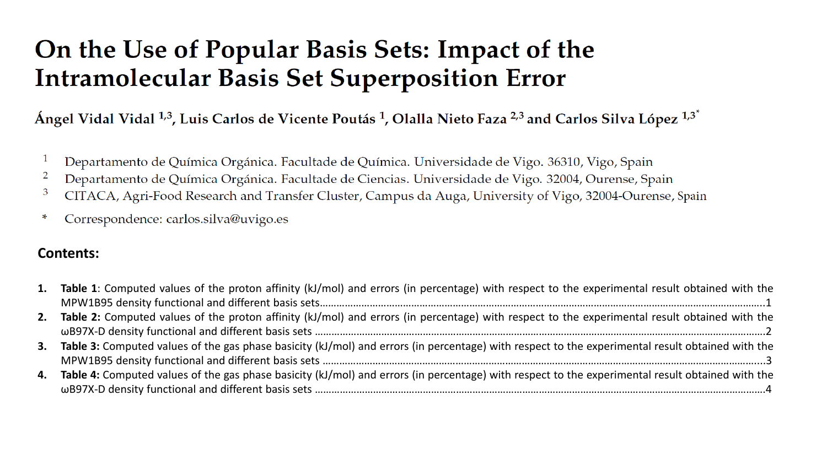## On the Use of Popular Basis Sets: Impact of the **Intramolecular Basis Set Superposition Error**

Ángel Vidal Vidal <sup>1,3</sup>, Luis Carlos de Vicente Poutás <sup>1</sup>, Olalla Nieto Faza <sup>2,3</sup> and Carlos Silva López <sup>1,3\*</sup>

- Departamento de Química Orgánica. Facultade de Química. Universidade de Vigo. 36310, Vigo, Spain
- Departamento de Química Orgánica. Facultade de Ciencias. Universidade de Vigo. 32004, Ourense, Spain 2
- CITACA, Agri-Food Research and Transfer Cluster, Campus da Auga, University of Vigo, 32004-Ourense, Spain 3
- Correspondence: carlos.silva@uvigo.es ∗

## **Contents:**

| 1. Table 1: Computed values of the proton affinity (kJ/mol) and errors (in percentage) with respect to the experimental result obtained with the    |
|-----------------------------------------------------------------------------------------------------------------------------------------------------|
|                                                                                                                                                     |
| 2. Table 2: Computed values of the proton affinity (kJ/mol) and errors (in percentage) with respect to the experimental result obtained with the    |
|                                                                                                                                                     |
| 3. Table 3: Computed values of the gas phase basicity (kJ/mol) and errors (in percentage) with respect to the experimental result obtained with the |
|                                                                                                                                                     |
| 4. Table 4: Computed values of the gas phase basicity (kJ/mol) and errors (in percentage) with respect to the experimental result obtained with the |
|                                                                                                                                                     |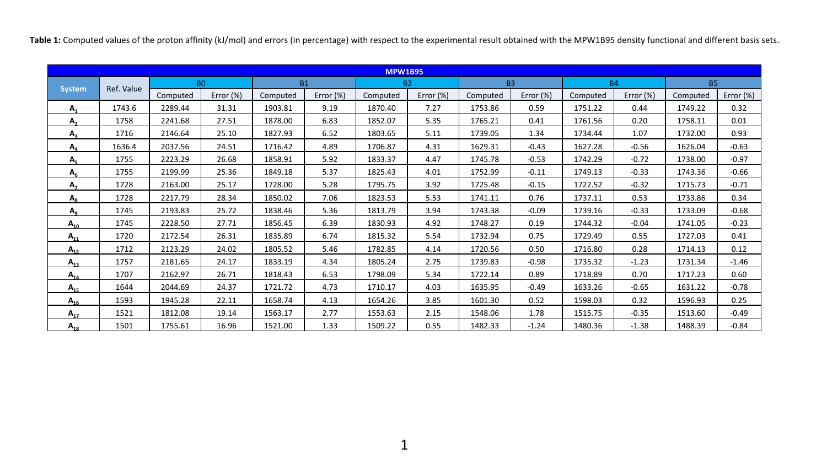Table 1: Computed values of the proton affinity (kJ/mol) and errors (in percentage) with respect to the experimental result obtained with the MPW1B95 density functional and different basis sets.

| <b>MPW1B95</b> |            |                |           |           |           |          |           |          |           |          |           |          |              |  |
|----------------|------------|----------------|-----------|-----------|-----------|----------|-----------|----------|-----------|----------|-----------|----------|--------------|--|
|                | Ref. Value | B <sub>0</sub> |           | <b>B1</b> |           |          | <b>B2</b> |          | <b>B3</b> |          | <b>B4</b> |          | <b>B5</b>    |  |
| <b>System</b>  |            | Computed       | Error (%) | Computed  | Error (%) | Computed | Error (%) | Computed | Error (%) | Computed | Error (%) | Computed | Error $(\%)$ |  |
| $A_{1}$        | 1743.6     | 2289.44        | 31.31     | 1903.81   | 9.19      | 1870.40  | 7.27      | 1753.86  | 0.59      | 1751.22  | 0.44      | 1749.22  | 0.32         |  |
| $A_{2}$        | 1758       | 2241.68        | 27.51     | 1878.00   | 6.83      | 1852.07  | 5.35      | 1765.21  | 0.41      | 1761.56  | 0.20      | 1758.11  | 0.01         |  |
| $A_{2}$        | 1716       | 2146.64        | 25.10     | 1827.93   | 6.52      | 1803.65  | 5.11      | 1739.05  | 1.34      | 1734.44  | 1.07      | 1732.00  | 0.93         |  |
| $A_{4}$        | 1636.4     | 2037.56        | 24.51     | 1716.42   | 4.89      | 1706.87  | 4.31      | 1629.31  | $-0.43$   | 1627.28  | $-0.56$   | 1626.04  | $-0.63$      |  |
| A <sub>5</sub> | 1755       | 2223.29        | 26.68     | 1858.91   | 5.92      | 1833.37  | 4.47      | 1745.78  | $-0.53$   | 1742.29  | $-0.72$   | 1738.00  | $-0.97$      |  |
| $A_{6}$        | 1755       | 2199.99        | 25.36     | 1849.18   | 5.37      | 1825.43  | 4.01      | 1752.99  | $-0.11$   | 1749.13  | $-0.33$   | 1743.36  | $-0.66$      |  |
| A <sub>7</sub> | 1728       | 2163.00        | 25.17     | 1728.00   | 5.28      | 1795.75  | 3.92      | 1725.48  | $-0.15$   | 1722.52  | $-0.32$   | 1715.73  | $-0.71$      |  |
| $A_{\rm g}$    | 1728       | 2217.79        | 28.34     | 1850.02   | 7.06      | 1823.53  | 5.53      | 1741.11  | 0.76      | 1737.11  | 0.53      | 1733.86  | 0.34         |  |
| $A_{q}$        | 1745       | 2193.83        | 25.72     | 1838.46   | 5.36      | 1813.79  | 3.94      | 1743.38  | $-0.09$   | 1739.16  | $-0.33$   | 1733.09  | $-0.68$      |  |
| $A_{10}$       | 1745       | 2228.50        | 27.71     | 1856.45   | 6.39      | 1830.93  | 4.92      | 1748.27  | 0.19      | 1744.32  | $-0.04$   | 1741.05  | $-0.23$      |  |
| $A_{11}$       | 1720       | 2172.54        | 26.31     | 1835.89   | 6.74      | 1815.32  | 5.54      | 1732.94  | 0.75      | 1729.49  | 0.55      | 1727.03  | 0.41         |  |
| $A_{12}$       | 1712       | 2123.29        | 24.02     | 1805.52   | 5.46      | 1782.85  | 4.14      | 1720.56  | 0.50      | 1716.80  | 0.28      | 1714.13  | 0.12         |  |
| $A_{13}$       | 1757       | 2181.65        | 24.17     | 1833.19   | 4.34      | 1805.24  | 2.75      | 1739.83  | $-0.98$   | 1735.32  | $-1.23$   | 1731.34  | $-1.46$      |  |
| $A_{14}$       | 1707       | 2162.97        | 26.71     | 1818.43   | 6.53      | 1798.09  | 5.34      | 1722.14  | 0.89      | 1718.89  | 0.70      | 1717.23  | 0.60         |  |
| $A_{15}$       | 1644       | 2044.69        | 24.37     | 1721.72   | 4.73      | 1710.17  | 4.03      | 1635.95  | $-0.49$   | 1633.26  | $-0.65$   | 1631.22  | $-0.78$      |  |
| $A_{16}$       | 1593       | 1945.28        | 22.11     | 1658.74   | 4.13      | 1654.26  | 3.85      | 1601.30  | 0.52      | 1598.03  | 0.32      | 1596.93  | 0.25         |  |
| $A_{17}$       | 1521       | 1812.08        | 19.14     | 1563.17   | 2.77      | 1553.63  | 2.15      | 1548.06  | 1.78      | 1515.75  | $-0.35$   | 1513.60  | $-0.49$      |  |
| $A_{18}$       | 1501       | 1755.61        | 16.96     | 1521.00   | 1.33      | 1509.22  | 0.55      | 1482.33  | $-1.24$   | 1480.36  | $-1.38$   | 1488.39  | $-0.84$      |  |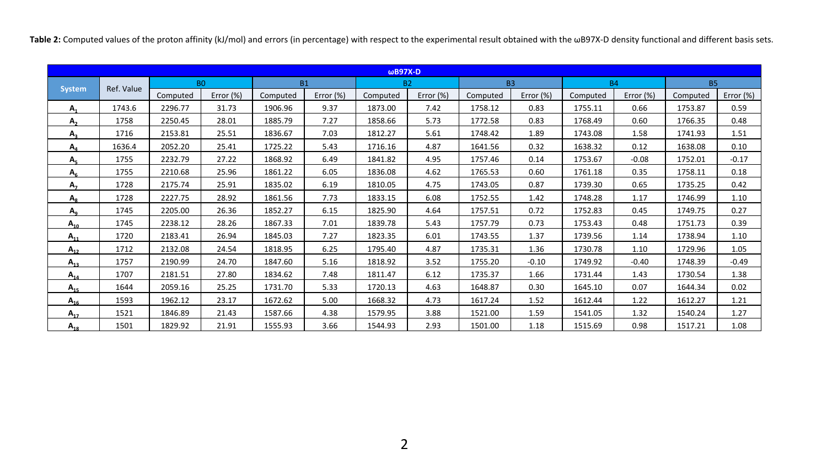Table 2: Computed values of the proton affinity (kJ/mol) and errors (in percentage) with respect to the experimental result obtained with the wB97X-D density functional and different basis sets.

| $\omega$ B97X-D |            |                |           |           |              |           |           |           |           |           |              |           |           |
|-----------------|------------|----------------|-----------|-----------|--------------|-----------|-----------|-----------|-----------|-----------|--------------|-----------|-----------|
|                 | Ref. Value | B <sub>0</sub> |           | <b>B1</b> |              | <b>B2</b> |           | <b>B3</b> |           | <b>B4</b> |              | <b>B5</b> |           |
| <b>System</b>   |            | Computed       | Error (%) | Computed  | Error $(\%)$ | Computed  | Error (%) | Computed  | Error (%) | Computed  | Error $(\%)$ | Computed  | Error (%) |
| $A_{1}$         | 1743.6     | 2296.77        | 31.73     | 1906.96   | 9.37         | 1873.00   | 7.42      | 1758.12   | 0.83      | 1755.11   | 0.66         | 1753.87   | 0.59      |
| $A_{2}$         | 1758       | 2250.45        | 28.01     | 1885.79   | 7.27         | 1858.66   | 5.73      | 1772.58   | 0.83      | 1768.49   | 0.60         | 1766.35   | 0.48      |
| $A_{2}$         | 1716       | 2153.81        | 25.51     | 1836.67   | 7.03         | 1812.27   | 5.61      | 1748.42   | 1.89      | 1743.08   | 1.58         | 1741.93   | 1.51      |
| $A_4$           | 1636.4     | 2052.20        | 25.41     | 1725.22   | 5.43         | 1716.16   | 4.87      | 1641.56   | 0.32      | 1638.32   | 0.12         | 1638.08   | 0.10      |
| $A_{\kappa}$    | 1755       | 2232.79        | 27.22     | 1868.92   | 6.49         | 1841.82   | 4.95      | 1757.46   | 0.14      | 1753.67   | $-0.08$      | 1752.01   | $-0.17$   |
| A <sub>6</sub>  | 1755       | 2210.68        | 25.96     | 1861.22   | 6.05         | 1836.08   | 4.62      | 1765.53   | 0.60      | 1761.18   | 0.35         | 1758.11   | 0.18      |
| A <sub>7</sub>  | 1728       | 2175.74        | 25.91     | 1835.02   | 6.19         | 1810.05   | 4.75      | 1743.05   | 0.87      | 1739.30   | 0.65         | 1735.25   | 0.42      |
| $A_{\rm g}$     | 1728       | 2227.75        | 28.92     | 1861.56   | 7.73         | 1833.15   | 6.08      | 1752.55   | 1.42      | 1748.28   | 1.17         | 1746.99   | 1.10      |
| $A_{q}$         | 1745       | 2205.00        | 26.36     | 1852.27   | 6.15         | 1825.90   | 4.64      | 1757.51   | 0.72      | 1752.83   | 0.45         | 1749.75   | 0.27      |
| $A_{10}$        | 1745       | 2238.12        | 28.26     | 1867.33   | 7.01         | 1839.78   | 5.43      | 1757.79   | 0.73      | 1753.43   | 0.48         | 1751.73   | 0.39      |
| $A_{11}$        | 1720       | 2183.41        | 26.94     | 1845.03   | 7.27         | 1823.35   | 6.01      | 1743.55   | 1.37      | 1739.56   | 1.14         | 1738.94   | 1.10      |
| $A_{12}$        | 1712       | 2132.08        | 24.54     | 1818.95   | 6.25         | 1795.40   | 4.87      | 1735.31   | 1.36      | 1730.78   | 1.10         | 1729.96   | 1.05      |
| $A_{13}$        | 1757       | 2190.99        | 24.70     | 1847.60   | 5.16         | 1818.92   | 3.52      | 1755.20   | $-0.10$   | 1749.92   | $-0.40$      | 1748.39   | $-0.49$   |
| $A_{14}$        | 1707       | 2181.51        | 27.80     | 1834.62   | 7.48         | 1811.47   | 6.12      | 1735.37   | 1.66      | 1731.44   | 1.43         | 1730.54   | 1.38      |
| $A_{15}$        | 1644       | 2059.16        | 25.25     | 1731.70   | 5.33         | 1720.13   | 4.63      | 1648.87   | 0.30      | 1645.10   | 0.07         | 1644.34   | 0.02      |
| $A_{16}$        | 1593       | 1962.12        | 23.17     | 1672.62   | 5.00         | 1668.32   | 4.73      | 1617.24   | 1.52      | 1612.44   | 1.22         | 1612.27   | 1.21      |
| $A_{17}$        | 1521       | 1846.89        | 21.43     | 1587.66   | 4.38         | 1579.95   | 3.88      | 1521.00   | 1.59      | 1541.05   | 1.32         | 1540.24   | 1.27      |
| $A_{18}$        | 1501       | 1829.92        | 21.91     | 1555.93   | 3.66         | 1544.93   | 2.93      | 1501.00   | 1.18      | 1515.69   | 0.98         | 1517.21   | 1.08      |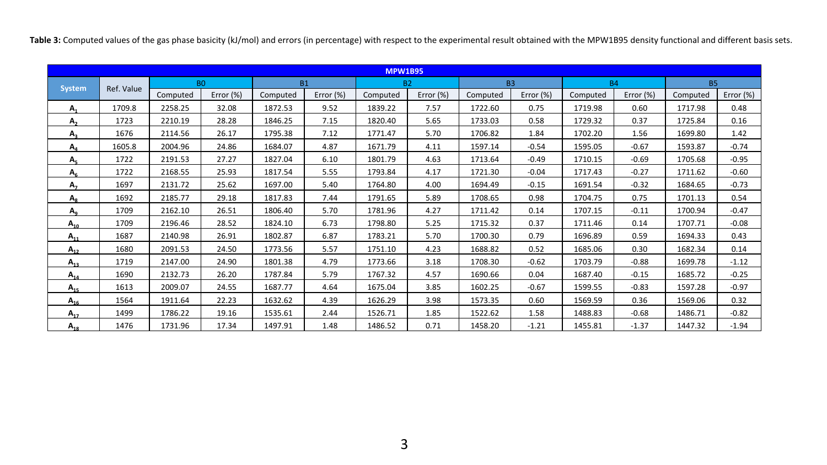Table 3: Computed values of the gas phase basicity (kJ/mol) and errors (in percentage) with respect to the experimental result obtained with the MPW1B95 density functional and different basis sets.

| <b>MPW1B95</b> |            |                |           |           |              |           |              |           |           |           |           |           |           |
|----------------|------------|----------------|-----------|-----------|--------------|-----------|--------------|-----------|-----------|-----------|-----------|-----------|-----------|
|                | Ref. Value | B <sub>0</sub> |           | <b>B1</b> |              | <b>B2</b> |              | <b>B3</b> |           | <b>B4</b> |           | <b>B5</b> |           |
| <b>System</b>  |            | Computed       | Error (%) | Computed  | Error $(\%)$ | Computed  | Error $(\%)$ | Computed  | Error (%) | Computed  | Error (%) | Computed  | Error (%) |
| $A_{1}$        | 1709.8     | 2258.25        | 32.08     | 1872.53   | 9.52         | 1839.22   | 7.57         | 1722.60   | 0.75      | 1719.98   | 0.60      | 1717.98   | 0.48      |
| $A_{2}$        | 1723       | 2210.19        | 28.28     | 1846.25   | 7.15         | 1820.40   | 5.65         | 1733.03   | 0.58      | 1729.32   | 0.37      | 1725.84   | 0.16      |
| $A_{2}$        | 1676       | 2114.56        | 26.17     | 1795.38   | 7.12         | 1771.47   | 5.70         | 1706.82   | 1.84      | 1702.20   | 1.56      | 1699.80   | 1.42      |
| $A_4$          | 1605.8     | 2004.96        | 24.86     | 1684.07   | 4.87         | 1671.79   | 4.11         | 1597.14   | $-0.54$   | 1595.05   | $-0.67$   | 1593.87   | $-0.74$   |
| $A_{5}$        | 1722       | 2191.53        | 27.27     | 1827.04   | 6.10         | 1801.79   | 4.63         | 1713.64   | $-0.49$   | 1710.15   | $-0.69$   | 1705.68   | $-0.95$   |
| A <sub>6</sub> | 1722       | 2168.55        | 25.93     | 1817.54   | 5.55         | 1793.84   | 4.17         | 1721.30   | $-0.04$   | 1717.43   | $-0.27$   | 1711.62   | $-0.60$   |
| A <sub>7</sub> | 1697       | 2131.72        | 25.62     | 1697.00   | 5.40         | 1764.80   | 4.00         | 1694.49   | $-0.15$   | 1691.54   | $-0.32$   | 1684.65   | $-0.73$   |
| $A_{\rm g}$    | 1692       | 2185.77        | 29.18     | 1817.83   | 7.44         | 1791.65   | 5.89         | 1708.65   | 0.98      | 1704.75   | 0.75      | 1701.13   | 0.54      |
| $A_{q}$        | 1709       | 2162.10        | 26.51     | 1806.40   | 5.70         | 1781.96   | 4.27         | 1711.42   | 0.14      | 1707.15   | $-0.11$   | 1700.94   | $-0.47$   |
| $A_{10}$       | 1709       | 2196.46        | 28.52     | 1824.10   | 6.73         | 1798.80   | 5.25         | 1715.32   | 0.37      | 1711.46   | 0.14      | 1707.71   | $-0.08$   |
| $A_{11}$       | 1687       | 2140.98        | 26.91     | 1802.87   | 6.87         | 1783.21   | 5.70         | 1700.30   | 0.79      | 1696.89   | 0.59      | 1694.33   | 0.43      |
| $A_{12}$       | 1680       | 2091.53        | 24.50     | 1773.56   | 5.57         | 1751.10   | 4.23         | 1688.82   | 0.52      | 1685.06   | 0.30      | 1682.34   | 0.14      |
| $A_{13}$       | 1719       | 2147.00        | 24.90     | 1801.38   | 4.79         | 1773.66   | 3.18         | 1708.30   | $-0.62$   | 1703.79   | $-0.88$   | 1699.78   | $-1.12$   |
| $A_{14}$       | 1690       | 2132.73        | 26.20     | 1787.84   | 5.79         | 1767.32   | 4.57         | 1690.66   | 0.04      | 1687.40   | $-0.15$   | 1685.72   | $-0.25$   |
| $A_{15}$       | 1613       | 2009.07        | 24.55     | 1687.77   | 4.64         | 1675.04   | 3.85         | 1602.25   | $-0.67$   | 1599.55   | $-0.83$   | 1597.28   | $-0.97$   |
| $A_{16}$       | 1564       | 1911.64        | 22.23     | 1632.62   | 4.39         | 1626.29   | 3.98         | 1573.35   | 0.60      | 1569.59   | 0.36      | 1569.06   | 0.32      |
| $A_{17}$       | 1499       | 1786.22        | 19.16     | 1535.61   | 2.44         | 1526.71   | 1.85         | 1522.62   | 1.58      | 1488.83   | $-0.68$   | 1486.71   | $-0.82$   |
| $A_{18}$       | 1476       | 1731.96        | 17.34     | 1497.91   | 1.48         | 1486.52   | 0.71         | 1458.20   | $-1.21$   | 1455.81   | $-1.37$   | 1447.32   | $-1.94$   |